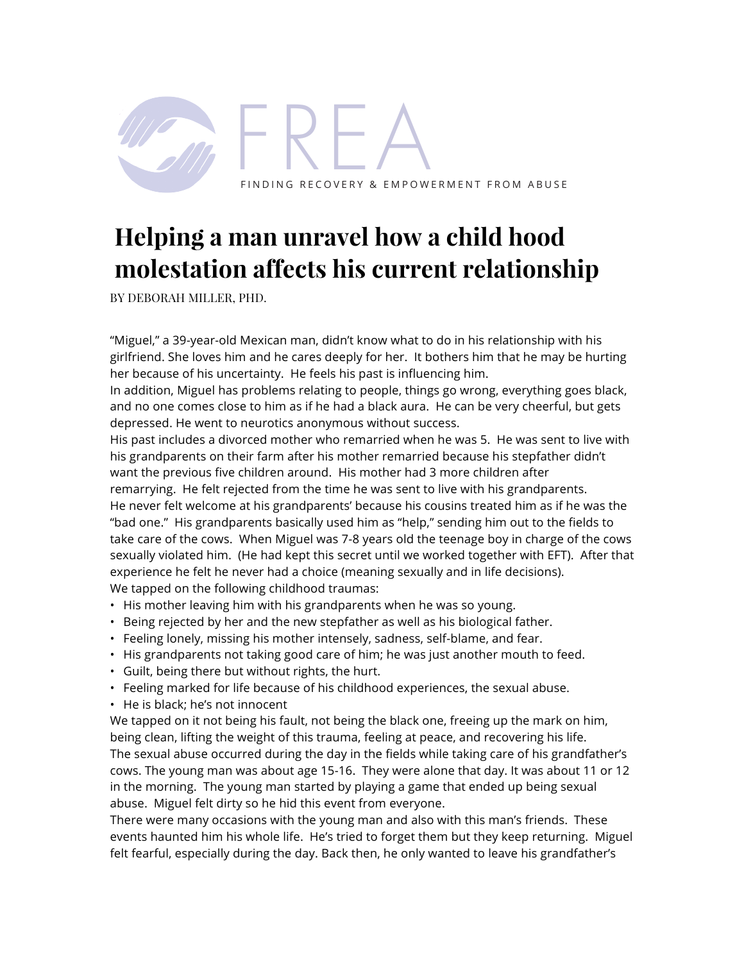

## **Helping a man unravel how a child hood molestation affects his current relationship**

BY DEBORAH MILLER, PHD.

"Miguel," a 39-year-old Mexican man, didn't know what to do in his relationship with his girlfriend. She loves him and he cares deeply for her. It bothers him that he may be hurting her because of his uncertainty. He feels his past is influencing him.

In addition, Miguel has problems relating to people, things go wrong, everything goes black, and no one comes close to him as if he had a black aura. He can be very cheerful, but gets depressed. He went to neurotics anonymous without success.

His past includes a divorced mother who remarried when he was 5. He was sent to live with his grandparents on their farm after his mother remarried because his stepfather didn't want the previous five children around. His mother had 3 more children after remarrying. He felt rejected from the time he was sent to live with his grandparents. He never felt welcome at his grandparents' because his cousins treated him as if he was the "bad one." His grandparents basically used him as "help," sending him out to the fields to take care of the cows. When Miguel was 7-8 years old the teenage boy in charge of the cows sexually violated him. (He had kept this secret until we worked together with EFT). After that experience he felt he never had a choice (meaning sexually and in life decisions). We tapped on the following childhood traumas:

- His mother leaving him with his grandparents when he was so young.
- Being rejected by her and the new stepfather as well as his biological father.
- Feeling lonely, missing his mother intensely, sadness, self-blame, and fear.
- His grandparents not taking good care of him; he was just another mouth to feed.
- Guilt, being there but without rights, the hurt.
- Feeling marked for life because of his childhood experiences, the sexual abuse.
- He is black; he's not innocent

We tapped on it not being his fault, not being the black one, freeing up the mark on him, being clean, lifting the weight of this trauma, feeling at peace, and recovering his life. The sexual abuse occurred during the day in the fields while taking care of his grandfather's cows. The young man was about age 15-16. They were alone that day. It was about 11 or 12 in the morning. The young man started by playing a game that ended up being sexual abuse. Miguel felt dirty so he hid this event from everyone.

There were many occasions with the young man and also with this man's friends. These events haunted him his whole life. He's tried to forget them but they keep returning. Miguel felt fearful, especially during the day. Back then, he only wanted to leave his grandfather's